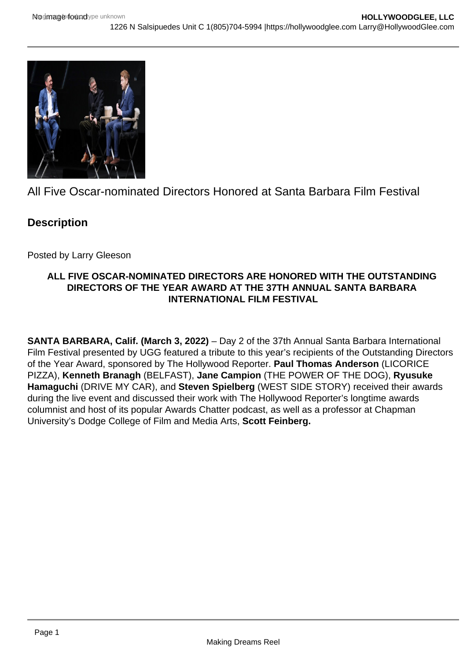

All Five Oscar-nominated Directors Honored at Santa Barbara Film Festival

## **Description**

Posted by Larry Gleeson

## **ALL FIVE OSCAR-NOMINATED DIRECTORS ARE HONORED WITH THE OUTSTANDING DIRECTORS OF THE YEAR AWARD AT THE 37TH ANNUAL SANTA BARBARA INTERNATIONAL FILM FESTIVAL**

**SANTA BARBARA, Calif. (March 3, 2022)** – Day 2 of the 37th Annual Santa Barbara International Film Festival presented by UGG featured a tribute to this year's recipients of the Outstanding Directors of the Year Award, sponsored by The Hollywood Reporter. **Paul Thomas Anderson** (LICORICE PIZZA), **Kenneth Branagh** (BELFAST), **Jane Campion** (THE POWER OF THE DOG), **Ryusuke Hamaguchi** (DRIVE MY CAR), and **Steven Spielberg** (WEST SIDE STORY) received their awards during the live event and discussed their work with The Hollywood Reporter's longtime awards columnist and host of its popular Awards Chatter podcast, as well as a professor at Chapman University's Dodge College of Film and Media Arts, **Scott Feinberg.**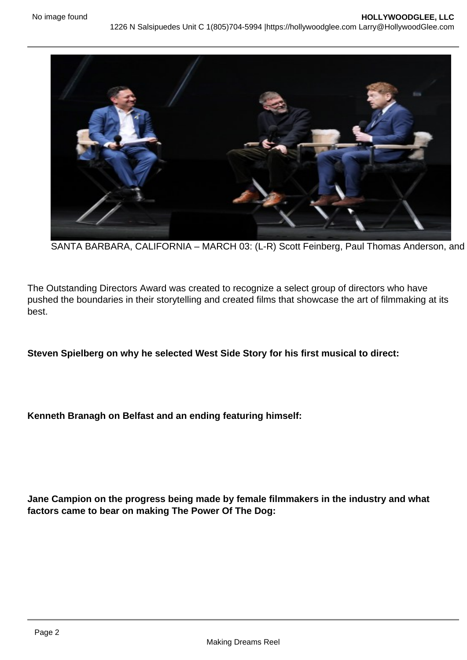## SANTA BARBARA, CALIFORNIA - MARCH 03: (L-R) Scott Feinberg, Paul Thomas Anderson, and

The Outstanding Directors Award was created to recognize a select group of directors who have pushed the boundaries in their storytelling and created films that showcase the art of filmmaking at its best.

Steven Spielberg on why he selected West Side Story for his first musical to direct:

Kenneth Branagh on Belfast and an ending featuring himself:

Jane Campion on the progress being made by female filmmakers in the industry and what factors came to bear on making The Power Of The Dog: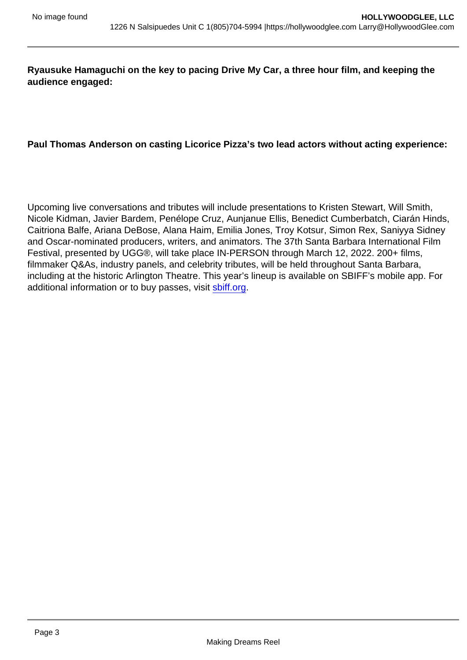Ryausuke Hamaguchi on the key to pacing Drive My Car, a three hour film, and keeping the audience engaged:

Paul Thomas Anderson on casting Licorice Pizza's two lead actors without acting experience:

Upcoming live conversations and tributes will include presentations to Kristen Stewart, Will Smith, Nicole Kidman, Javier Bardem, Penélope Cruz, Aunjanue Ellis, Benedict Cumberbatch, Ciarán Hinds, Caitriona Balfe, Ariana DeBose, Alana Haim, Emilia Jones, Troy Kotsur, Simon Rex, Saniyya Sidney and Oscar-nominated producers, writers, and animators. The 37th Santa Barbara International Film Festival, presented by UGG®, will take place IN-PERSON through March 12, 2022. 200+ films, filmmaker Q&As, industry panels, and celebrity tributes, will be held throughout Santa Barbara, including at the historic Arlington Theatre. This year's lineup is available on SBIFF's mobile app. For additional information or to buy passes, visit [sbiff.org.](http://sbiff.org)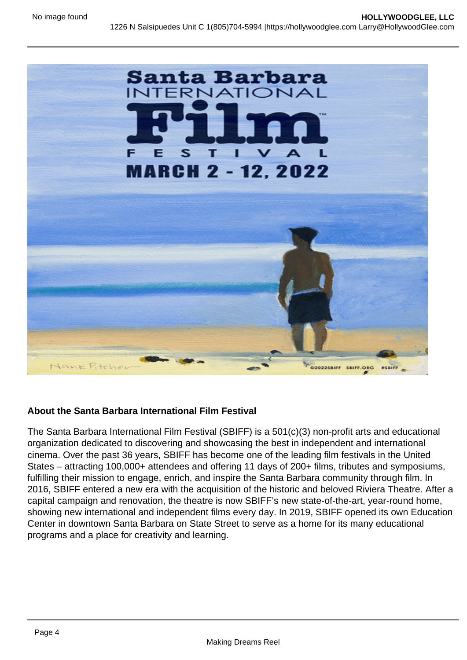About the Santa Barbara International Film Festival

The Santa Barbara International Film Festival (SBIFF) is a 501(c)(3) non-profit arts and educational organization dedicated to discovering and showcasing the best in independent and international cinema. Over the past 36 years, SBIFF has become one of the leading film festivals in the United States – attracting 100,000+ attendees and offering 11 days of 200+ films, tributes and symposiums, fulfilling their mission to engage, enrich, and inspire the Santa Barbara community through film. In 2016, SBIFF entered a new era with the acquisition of the historic and beloved Riviera Theatre. After a capital campaign and renovation, the theatre is now SBIFF's new state-of-the-art, year-round home, showing new international and independent films every day. In 2019, SBIFF opened its own Education Center in downtown Santa Barbara on State Street to serve as a home for its many educational programs and a place for creativity and learning.